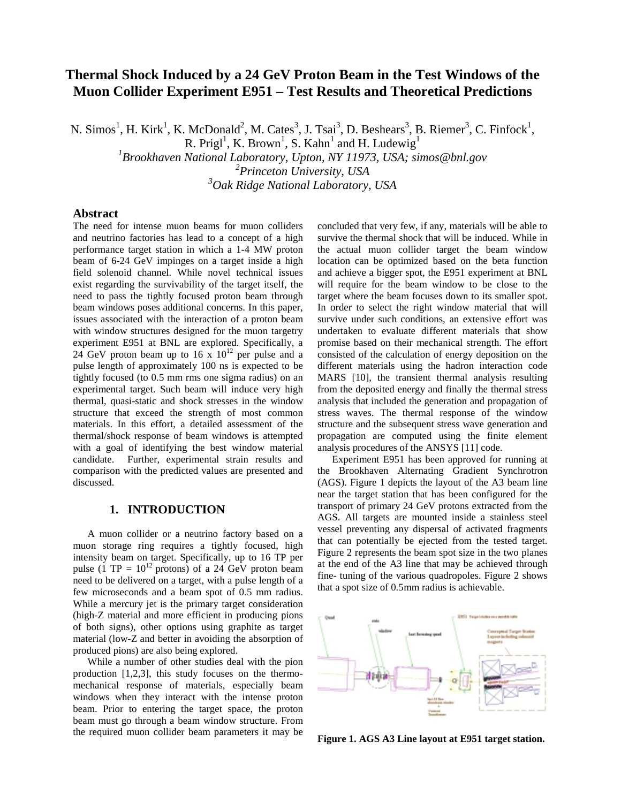# **Thermal Shock Induced by a 24 GeV Proton Beam in the Test Windows of the Muon Collider Experiment E951 – Test Results and Theoretical Predictions**

N. Simos<sup>1</sup>, H. Kirk<sup>1</sup>, K. McDonald<sup>2</sup>, M. Cates<sup>3</sup>, J. Tsai<sup>3</sup>, D. Beshears<sup>3</sup>, B. Riemer<sup>3</sup>, C. Finfock<sup>1</sup>,

R. Prigl<sup>1</sup>, K. Brown<sup>1</sup>, S. Kahn<sup>1</sup> and H. Ludewig<sup>1</sup>

*1 Brookhaven National Laboratory, Upton, NY 11973, USA; simos@bnl.gov*

*2 Princeton University, USA*

*3 Oak Ridge National Laboratory, USA*

## **Abstract**

The need for intense muon beams for muon colliders and neutrino factories has lead to a concept of a high performance target station in which a 1-4 MW proton beam of 6-24 GeV impinges on a target inside a high field solenoid channel. While novel technical issues exist regarding the survivability of the target itself, the need to pass the tightly focused proton beam through beam windows poses additional concerns. In this paper, issues associated with the interaction of a proton beam with window structures designed for the muon targetry experiment E951 at BNL are explored. Specifically, a 24 GeV proton beam up to  $16 \times 10^{12}$  per pulse and a pulse length of approximately 100 ns is expected to be tightly focused (to 0.5 mm rms one sigma radius) on an experimental target. Such beam will induce very high thermal, quasi-static and shock stresses in the window structure that exceed the strength of most common materials. In this effort, a detailed assessment of the thermal/shock response of beam windows is attempted with a goal of identifying the best window material candidate. Further, experimental strain results and comparison with the predicted values are presented and discussed.

# **1. INTRODUCTION**

A muon collider or a neutrino factory based on a muon storage ring requires a tightly focused, high intensity beam on target. Specifically, up to 16 TP per pulse (1 TP =  $10^{12}$  protons) of a 24 GeV proton beam need to be delivered on a target, with a pulse length of a few microseconds and a beam spot of 0.5 mm radius. While a mercury jet is the primary target consideration (high-Z material and more efficient in producing pions of both signs), other options using graphite as target material (low-Z and better in avoiding the absorption of produced pions) are also being explored.

While a number of other studies deal with the pion production [1,2,3], this study focuses on the thermomechanical response of materials, especially beam windows when they interact with the intense proton beam. Prior to entering the target space, the proton beam must go through a beam window structure. From the required muon collider beam parameters it may be concluded that very few, if any, materials will be able to survive the thermal shock that will be induced. While in the actual muon collider target the beam window location can be optimized based on the beta function and achieve a bigger spot, the E951 experiment at BNL will require for the beam window to be close to the target where the beam focuses down to its smaller spot. In order to select the right window material that will survive under such conditions, an extensive effort was undertaken to evaluate different materials that show promise based on their mechanical strength. The effort consisted of the calculation of energy deposition on the different materials using the hadron interaction code MARS [10], the transient thermal analysis resulting from the deposited energy and finally the thermal stress analysis that included the generation and propagation of stress waves. The thermal response of the window structure and the subsequent stress wave generation and propagation are computed using the finite element analysis procedures of the ANSYS [11] code.

Experiment E951 has been approved for running at the Brookhaven Alternating Gradient Synchrotron (AGS). Figure 1 depicts the layout of the A3 beam line near the target station that has been configured for the transport of primary 24 GeV protons extracted from the AGS. All targets are mounted inside a stainless steel vessel preventing any dispersal of activated fragments that can potentially be ejected from the tested target. Figure 2 represents the beam spot size in the two planes at the end of the A3 line that may be achieved through fine- tuning of the various quadropoles. Figure 2 shows that a spot size of 0.5mm radius is achievable.



**Figure 1. AGS A3 Line layout at E951 target station.**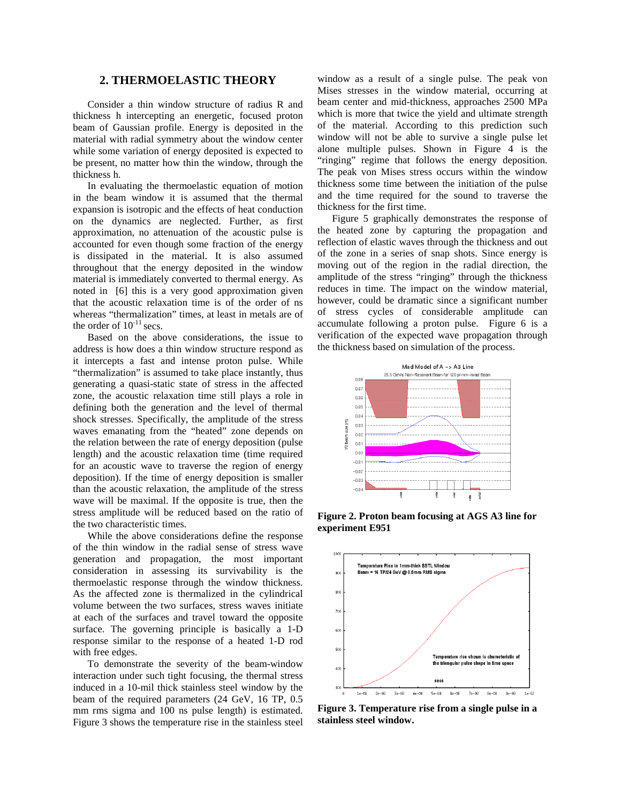#### **2. THERMOELASTIC THEORY**

Consider a thin window structure of radius R and thickness h intercepting an energetic, focused proton beam of Gaussian profile. Energy is deposited in the material with radial symmetry about the window center while some variation of energy deposited is expected to be present, no matter how thin the window, through the thickness h.

In evaluating the thermoelastic equation of motion in the beam window it is assumed that the thermal expansion is isotropic and the effects of heat conduction on the dynamics are neglected. Further, as first approximation, no attenuation of the acoustic pulse is accounted for even though some fraction of the energy is dissipated in the material. It is also assumed throughout that the energy deposited in the window material is immediately converted to thermal energy. As noted in [6] this is a very good approximation given that the acoustic relaxation time is of the order of ns whereas "thermalization" times, at least in metals are of the order of  $10^{-11}$  secs.

Based on the above considerations, the issue to address is how does a thin window structure respond as it intercepts a fast and intense proton pulse. While "thermalization" is assumed to take place instantly, thus generating a quasi-static state of stress in the affected zone, the acoustic relaxation time still plays a role in defining both the generation and the level of thermal shock stresses. Specifically, the amplitude of the stress waves emanating from the "heated" zone depends on the relation between the rate of energy deposition (pulse length) and the acoustic relaxation time (time required for an acoustic wave to traverse the region of energy deposition). If the time of energy deposition is smaller than the acoustic relaxation, the amplitude of the stress wave will be maximal. If the opposite is true, then the stress amplitude will be reduced based on the ratio of the two characteristic times.

While the above considerations define the response of the thin window in the radial sense of stress wave generation and propagation, the most important consideration in assessing its survivability is the thermoelastic response through the window thickness. As the affected zone is thermalized in the cylindrical volume between the two surfaces, stress waves initiate at each of the surfaces and travel toward the opposite surface. The governing principle is basically a 1-D response similar to the response of a heated 1-D rod with free edges.

To demonstrate the severity of the beam-window interaction under such tight focusing, the thermal stress induced in a 10-mil thick stainless steel window by the beam of the required parameters (24 GeV, 16 TP, 0.5 mm rms sigma and 100 ns pulse length) is estimated. Figure 3 shows the temperature rise in the stainless steel

window as a result of a single pulse. The peak von Mises stresses in the window material, occurring at beam center and mid-thickness, approaches 2500 MPa which is more that twice the yield and ultimate strength of the material. According to this prediction such window will not be able to survive a single pulse let alone multiple pulses. Shown in Figure 4 is the "ringing" regime that follows the energy deposition. The peak von Mises stress occurs within the window thickness some time between the initiation of the pulse and the time required for the sound to traverse the thickness for the first time.

Figure 5 graphically demonstrates the response of the heated zone by capturing the propagation and reflection of elastic waves through the thickness and out of the zone in a series of snap shots. Since energy is moving out of the region in the radial direction, the amplitude of the stress "ringing" through the thickness reduces in time. The impact on the window material, however, could be dramatic since a significant number of stress cycles of considerable amplitude can accumulate following a proton pulse. Figure 6 is a verification of the expected wave propagation through the thickness based on simulation of the process.



**Figure 2. Proton beam focusing at AGS A3 line for experiment E951**



**Figure 3. Temperature rise from a single pulse in a stainless steel window.**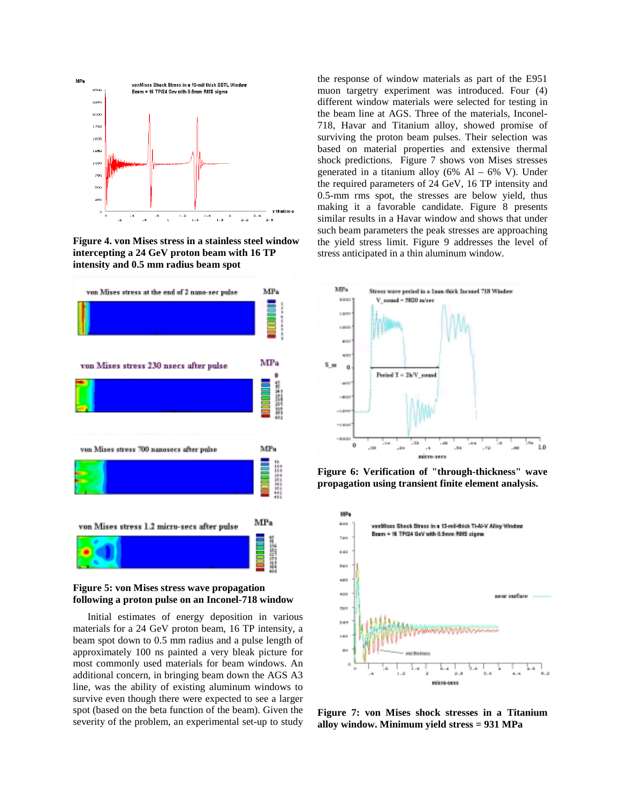

**Figure 4. von Mises stress in a stainless steel window intercepting a 24 GeV proton beam with 16 TP intensity and 0.5 mm radius beam spot**



#### **Figure 5: von Mises stress wave propagation following a proton pulse on an Inconel-718 window**

Initial estimates of energy deposition in various materials for a 24 GeV proton beam, 16 TP intensity, a beam spot down to 0.5 mm radius and a pulse length of approximately 100 ns painted a very bleak picture for most commonly used materials for beam windows. An additional concern, in bringing beam down the AGS A3 line, was the ability of existing aluminum windows to survive even though there were expected to see a larger spot (based on the beta function of the beam). Given the severity of the problem, an experimental set-up to study the response of window materials as part of the E951 muon targetry experiment was introduced. Four (4) different window materials were selected for testing in the beam line at AGS. Three of the materials, Inconel-718, Havar and Titanium alloy, showed promise of surviving the proton beam pulses. Their selection was based on material properties and extensive thermal shock predictions. Figure 7 shows von Mises stresses generated in a titanium alloy  $(6\%$  Al –  $6\%$  V). Under the required parameters of 24 GeV, 16 TP intensity and 0.5-mm rms spot, the stresses are below yield, thus making it a favorable candidate. Figure 8 presents similar results in a Havar window and shows that under such beam parameters the peak stresses are approaching the yield stress limit. Figure 9 addresses the level of stress anticipated in a thin aluminum window.



**Figure 6: Verification of "through-thickness" wave propagation using transient finite element analysis.**



**Figure 7: von Mises shock stresses in a Titanium alloy window. Minimum yield stress = 931 MPa**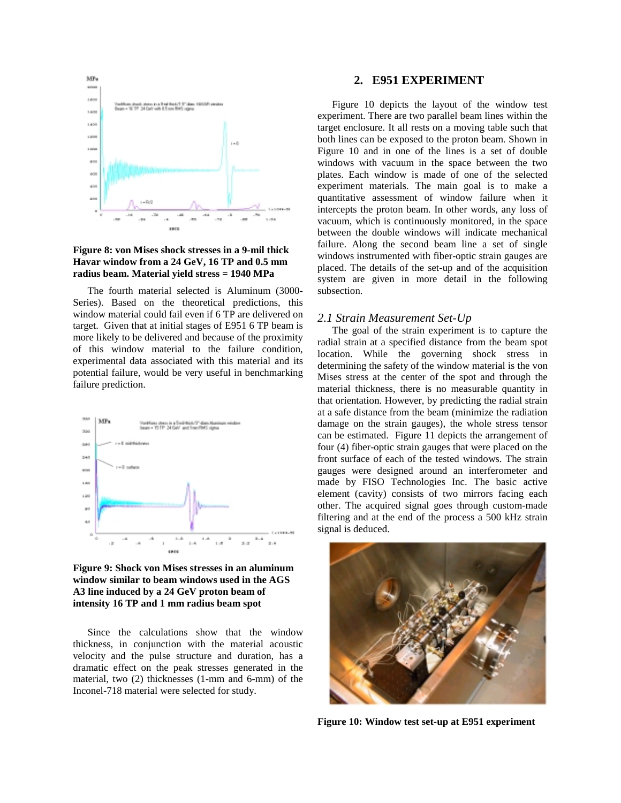

#### **Figure 8: von Mises shock stresses in a 9-mil thick Havar window from a 24 GeV, 16 TP and 0.5 mm radius beam. Material yield stress = 1940 MPa**

The fourth material selected is Aluminum (3000- Series). Based on the theoretical predictions, this window material could fail even if 6 TP are delivered on target. Given that at initial stages of E951 6 TP beam is more likely to be delivered and because of the proximity of this window material to the failure condition, experimental data associated with this material and its potential failure, would be very useful in benchmarking failure prediction.



**Figure 9: Shock von Mises stresses in an aluminum window similar to beam windows used in the AGS A3 line induced by a 24 GeV proton beam of intensity 16 TP and 1 mm radius beam spot**

Since the calculations show that the window thickness, in conjunction with the material acoustic velocity and the pulse structure and duration, has a dramatic effect on the peak stresses generated in the material, two (2) thicknesses (1-mm and 6-mm) of the Inconel-718 material were selected for study.

#### **2. E951 EXPERIMENT**

Figure 10 depicts the layout of the window test experiment. There are two parallel beam lines within the target enclosure. It all rests on a moving table such that both lines can be exposed to the proton beam. Shown in Figure 10 and in one of the lines is a set of double windows with vacuum in the space between the two plates. Each window is made of one of the selected experiment materials. The main goal is to make a quantitative assessment of window failure when it intercepts the proton beam. In other words, any loss of vacuum, which is continuously monitored, in the space between the double windows will indicate mechanical failure. Along the second beam line a set of single windows instrumented with fiber-optic strain gauges are placed. The details of the set-up and of the acquisition system are given in more detail in the following subsection.

#### *2.1 Strain Measurement Set-Up*

The goal of the strain experiment is to capture the radial strain at a specified distance from the beam spot location. While the governing shock stress in determining the safety of the window material is the von Mises stress at the center of the spot and through the material thickness, there is no measurable quantity in that orientation. However, by predicting the radial strain at a safe distance from the beam (minimize the radiation damage on the strain gauges), the whole stress tensor can be estimated. Figure 11 depicts the arrangement of four (4) fiber-optic strain gauges that were placed on the front surface of each of the tested windows. The strain gauges were designed around an interferometer and made by FISO Technologies Inc. The basic active element (cavity) consists of two mirrors facing each other. The acquired signal goes through custom-made filtering and at the end of the process a 500 kHz strain signal is deduced.



**Figure 10: Window test set-up at E951 experiment**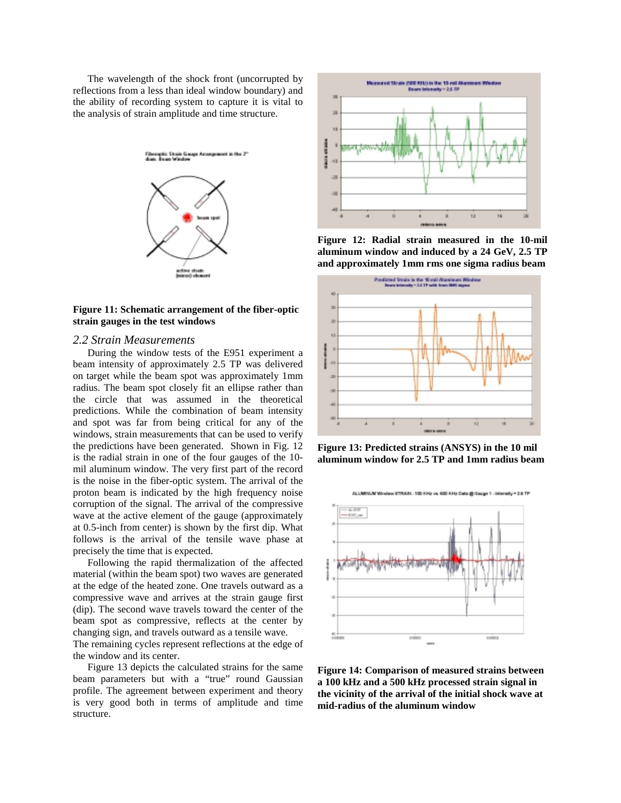The wavelength of the shock front (uncorrupted by reflections from a less than ideal window boundary) and the ability of recording system to capture it is vital to the analysis of strain amplitude and time structure.



#### **Figure 11: Schematic arrangement of the fiber-optic strain gauges in the test windows**

#### *2.2 Strain Measurements*

During the window tests of the E951 experiment a beam intensity of approximately 2.5 TP was delivered on target while the beam spot was approximately 1mm radius. The beam spot closely fit an ellipse rather than the circle that was assumed in the theoretical predictions. While the combination of beam intensity and spot was far from being critical for any of the windows, strain measurements that can be used to verify the predictions have been generated. Shown in Fig. 12 is the radial strain in one of the four gauges of the 10 mil aluminum window. The very first part of the record is the noise in the fiber-optic system. The arrival of the proton beam is indicated by the high frequency noise corruption of the signal. The arrival of the compressive wave at the active element of the gauge (approximately at 0.5-inch from center) is shown by the first dip. What follows is the arrival of the tensile wave phase at precisely the time that is expected.

Following the rapid thermalization of the affected material (within the beam spot) two waves are generated at the edge of the heated zone. One travels outward as a compressive wave and arrives at the strain gauge first (dip). The second wave travels toward the center of the beam spot as compressive, reflects at the center by changing sign, and travels outward as a tensile wave.

The remaining cycles represent reflections at the edge of the window and its center.

Figure 13 depicts the calculated strains for the same beam parameters but with a "true" round Gaussian profile. The agreement between experiment and theory is very good both in terms of amplitude and time structure.



**Figure 12: Radial strain measured in the 10-mil aluminum window and induced by a 24 GeV, 2.5 TP and approximately 1mm rms one sigma radius beam**



**Figure 13: Predicted strains (ANSYS) in the 10 mil aluminum window for 2.5 TP and 1mm radius beam**



**Figure 14: Comparison of measured strains between a 100 kHz and a 500 kHz processed strain signal in the vicinity of the arrival of the initial shock wave at mid-radius of the aluminum window**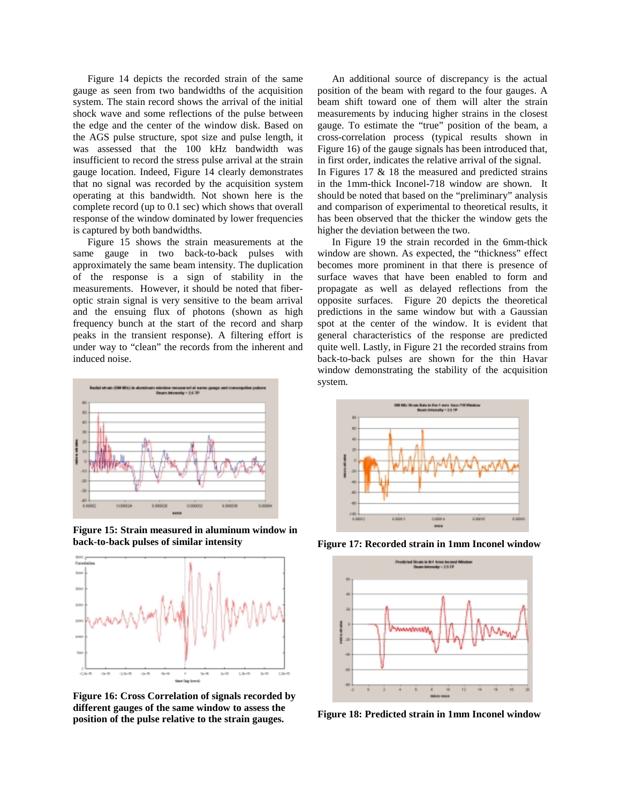Figure 14 depicts the recorded strain of the same gauge as seen from two bandwidths of the acquisition system. The stain record shows the arrival of the initial shock wave and some reflections of the pulse between the edge and the center of the window disk. Based on the AGS pulse structure, spot size and pulse length, it was assessed that the 100 kHz bandwidth was insufficient to record the stress pulse arrival at the strain gauge location. Indeed, Figure 14 clearly demonstrates that no signal was recorded by the acquisition system operating at this bandwidth. Not shown here is the complete record (up to 0.1 sec) which shows that overall response of the window dominated by lower frequencies is captured by both bandwidths.

Figure 15 shows the strain measurements at the same gauge in two back-to-back pulses with approximately the same beam intensity. The duplication of the response is a sign of stability in the measurements. However, it should be noted that fiberoptic strain signal is very sensitive to the beam arrival and the ensuing flux of photons (shown as high frequency bunch at the start of the record and sharp peaks in the transient response). A filtering effort is under way to "clean" the records from the inherent and induced noise.



**Figure 15: Strain measured in aluminum window in back-to-back pulses of similar intensity**



**Figure 16: Cross Correlation of signals recorded by different gauges of the same window to assess the position of the pulse relative to the strain gauges.**

An additional source of discrepancy is the actual position of the beam with regard to the four gauges. A beam shift toward one of them will alter the strain measurements by inducing higher strains in the closest gauge. To estimate the "true" position of the beam, a cross-correlation process (typical results shown in Figure 16) of the gauge signals has been introduced that, in first order, indicates the relative arrival of the signal. In Figures 17 & 18 the measured and predicted strains in the 1mm-thick Inconel-718 window are shown. It should be noted that based on the "preliminary" analysis and comparison of experimental to theoretical results, it has been observed that the thicker the window gets the higher the deviation between the two.

In Figure 19 the strain recorded in the 6mm-thick window are shown. As expected, the "thickness" effect becomes more prominent in that there is presence of surface waves that have been enabled to form and propagate as well as delayed reflections from the opposite surfaces. Figure 20 depicts the theoretical predictions in the same window but with a Gaussian spot at the center of the window. It is evident that general characteristics of the response are predicted quite well. Lastly, in Figure 21 the recorded strains from back-to-back pulses are shown for the thin Havar window demonstrating the stability of the acquisition system.



**Figure 17: Recorded strain in 1mm Inconel window**



**Figure 18: Predicted strain in 1mm Inconel window**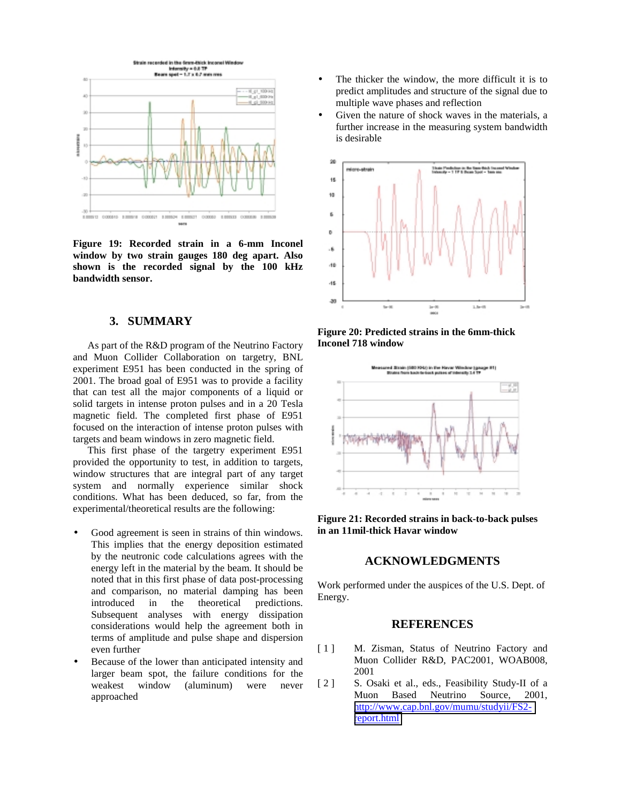

**Figure 19: Recorded strain in a 6-mm Inconel window by two strain gauges 180 deg apart. Also shown is the recorded signal by the 100 kHz bandwidth sensor.**

## **3. SUMMARY**

As part of the R&D program of the Neutrino Factory and Muon Collider Collaboration on targetry, BNL experiment E951 has been conducted in the spring of 2001. The broad goal of E951 was to provide a facility that can test all the major components of a liquid or solid targets in intense proton pulses and in a 20 Tesla magnetic field. The completed first phase of E951 focused on the interaction of intense proton pulses with targets and beam windows in zero magnetic field.

This first phase of the targetry experiment E951 provided the opportunity to test, in addition to targets, window structures that are integral part of any target system and normally experience similar shock conditions. What has been deduced, so far, from the experimental/theoretical results are the following:

- Good agreement is seen in strains of thin windows. This implies that the energy deposition estimated by the neutronic code calculations agrees with the energy left in the material by the beam. It should be noted that in this first phase of data post-processing and comparison, no material damping has been introduced in the theoretical predictions. Subsequent analyses with energy dissipation considerations would help the agreement both in terms of amplitude and pulse shape and dispersion even further
- Because of the lower than anticipated intensity and larger beam spot, the failure conditions for the weakest window (aluminum) were never approached
- The thicker the window, the more difficult it is to predict amplitudes and structure of the signal due to multiple wave phases and reflection
- Given the nature of shock waves in the materials, a further increase in the measuring system bandwidth is desirable



**Figure 20: Predicted strains in the 6mm-thick Inconel 718 window**



**Figure 21: Recorded strains in back-to-back pulses in an 11mil-thick Havar window**

## **ACKNOWLEDGMENTS**

Work performed under the auspices of the U.S. Dept. of Energy.

## **REFERENCES**

- [1] M. Zisman, Status of Neutrino Factory and Muon Collider R&D, PAC2001, WOAB008, 2001
- [2] S. Osaki et al., eds., Feasibility Study-II of a Muon Based Neutrino Source, 2001, [http://www.cap.bnl.gov/mumu/studyii/FS2](http://www.cap.bnl.gov/mumu/studyii/FS2-report.html) [report.html](http://www.cap.bnl.gov/mumu/studyii/FS2-report.html)